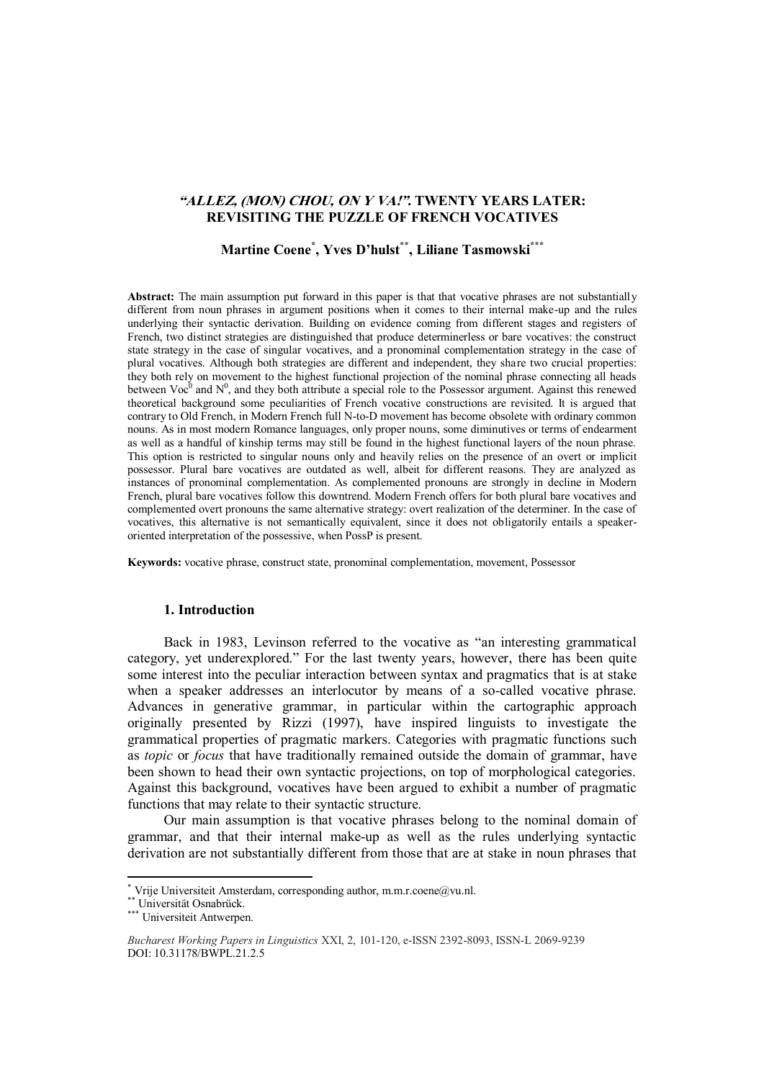## **"ALLEZ, (MON) CHOU, ON Y VA!". TWENTY YEARS LATER: REVISITING THE PUZZLE OF FRENCH VOCATIVES**

# **Martine Coene\* , Yves D'hulst\*\*, Liliane Tasmowski\*\*\***

**Abstract:** The main assumption put forward in this paper is that that vocative phrases are not substantially different from noun phrases in argument positions when it comes to their internal make-up and the rules underlying their syntactic derivation. Building on evidence coming from different stages and registers of French, two distinct strategies are distinguished that produce determinerless or bare vocatives: the construct state strategy in the case of singular vocatives, and a pronominal complementation strategy in the case of plural vocatives. Although both strategies are different and independent, they share two crucial properties: they both rely on movement to the highest functional projection of the nominal phrase connecting all heads between Voc<sup>0</sup> and N<sup>0</sup>, and they both attribute a special role to the Possessor argument. Against this renewed theoretical background some peculiarities of French vocative constructions are revisited. It is argued that contrary to Old French, in Modern French full N-to-D movement has become obsolete with ordinary common nouns. As in most modern Romance languages, only proper nouns, some diminutives or terms of endearment as well as a handful of kinship terms may still be found in the highest functional layers of the noun phrase. This option is restricted to singular nouns only and heavily relies on the presence of an overt or implicit possessor. Plural bare vocatives are outdated as well, albeit for different reasons. They are analyzed as instances of pronominal complementation. As complemented pronouns are strongly in decline in Modern French, plural bare vocatives follow this downtrend. Modern French offers for both plural bare vocatives and complemented overt pronouns the same alternative strategy: overt realization of the determiner. In the case of vocatives, this alternative is not semantically equivalent, since it does not obligatorily entails a speakeroriented interpretation of the possessive, when PossP is present.

**Keywords:** vocative phrase, construct state, pronominal complementation, movement, Possessor

### **1. Introduction**

Back in 1983, Levinson referred to the vocative as "an interesting grammatical category, yet underexplored." For the last twenty years, however, there has been quite some interest into the peculiar interaction between syntax and pragmatics that is at stake when a speaker addresses an interlocutor by means of a so-called vocative phrase. Advances in generative grammar, in particular within the cartographic approach originally presented by Rizzi (1997), have inspired linguists to investigate the grammatical properties of pragmatic markers. Categories with pragmatic functions such as *topic* or *focus* that have traditionally remained outside the domain of grammar, have been shown to head their own syntactic projections, on top of morphological categories. Against this background, vocatives have been argued to exhibit a number of pragmatic functions that may relate to their syntactic structure.

Our main assumption is that vocative phrases belong to the nominal domain of grammar, and that their internal make-up as well as the rules underlying syntactic derivation are not substantially different from those that are at stake in noun phrases that

\*\* Universität Osnabrück.

**.** 

<sup>\*</sup> Vrije Universiteit Amsterdam, corresponding author, m.m.r.coene@vu.nl.

<sup>&</sup>lt;sup>University</sup> Universiteit Antwerpen.

*Bucharest Working Papers in Linguistics* XXI, 2, 101-120, e-ISSN 2392-8093, ISSN-L 2069-9239 DOI: 10.31178/BWPL.21.2.5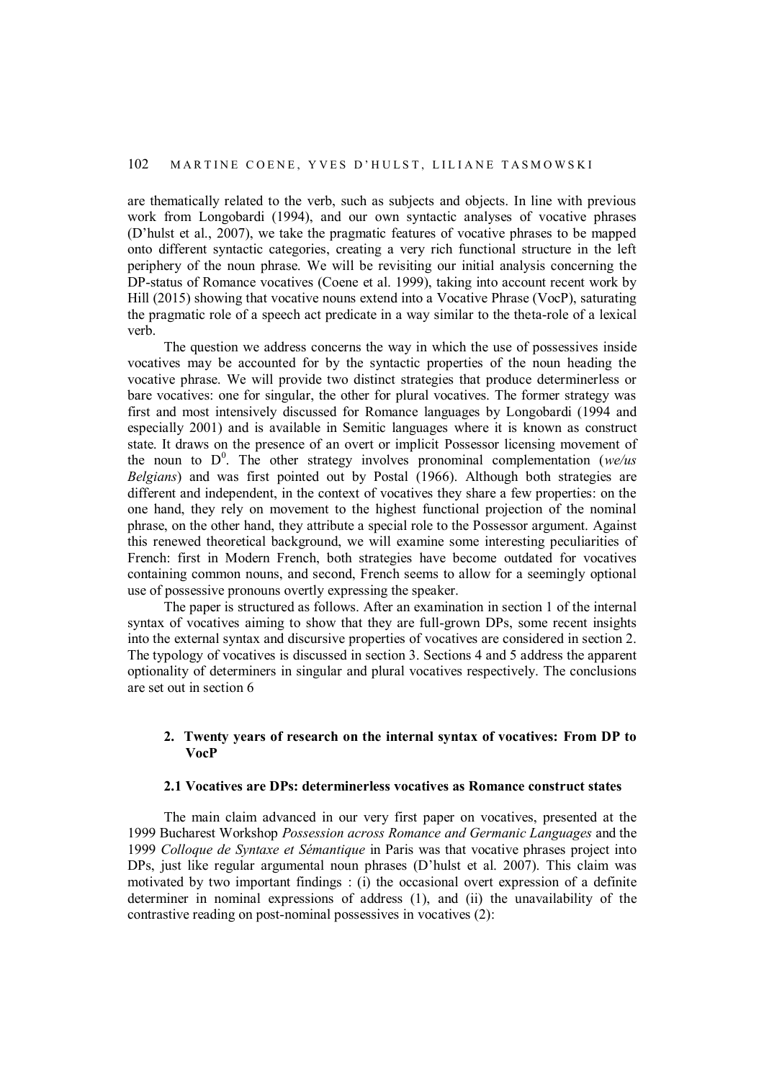are thematically related to the verb, such as subjects and objects. In line with previous work from Longobardi (1994), and our own syntactic analyses of vocative phrases (D'hulst et al., 2007), we take the pragmatic features of vocative phrases to be mapped onto different syntactic categories, creating a very rich functional structure in the left periphery of the noun phrase. We will be revisiting our initial analysis concerning the DP-status of Romance vocatives (Coene et al. 1999), taking into account recent work by Hill (2015) showing that vocative nouns extend into a Vocative Phrase (VocP), saturating the pragmatic role of a speech act predicate in a way similar to the theta-role of a lexical verb.

The question we address concerns the way in which the use of possessives inside vocatives may be accounted for by the syntactic properties of the noun heading the vocative phrase. We will provide two distinct strategies that produce determinerless or bare vocatives: one for singular, the other for plural vocatives. The former strategy was first and most intensively discussed for Romance languages by Longobardi (1994 and especially 2001) and is available in Semitic languages where it is known as construct state. It draws on the presence of an overt or implicit Possessor licensing movement of the noun to  $D^0$ . The other strategy involves pronominal complementation ( $we/us$ ) *Belgians*) and was first pointed out by Postal (1966). Although both strategies are different and independent, in the context of vocatives they share a few properties: on the one hand, they rely on movement to the highest functional projection of the nominal phrase, on the other hand, they attribute a special role to the Possessor argument. Against this renewed theoretical background, we will examine some interesting peculiarities of French: first in Modern French, both strategies have become outdated for vocatives containing common nouns, and second, French seems to allow for a seemingly optional use of possessive pronouns overtly expressing the speaker.

The paper is structured as follows. After an examination in section 1 of the internal syntax of vocatives aiming to show that they are full-grown DPs, some recent insights into the external syntax and discursive properties of vocatives are considered in section 2. The typology of vocatives is discussed in section 3. Sections 4 and 5 address the apparent optionality of determiners in singular and plural vocatives respectively. The conclusions are set out in section 6

### **2. Twenty years of research on the internal syntax of vocatives: From DP to VocP**

# **2.1 Vocatives are DPs: determinerless vocatives as Romance construct states**

The main claim advanced in our very first paper on vocatives, presented at the 1999 Bucharest Workshop *Possession across Romance and Germanic Languages* and the 1999 *Colloque de Syntaxe et Sémantique* in Paris was that vocative phrases project into DPs, just like regular argumental noun phrases (D'hulst et al. 2007). This claim was motivated by two important findings : (i) the occasional overt expression of a definite determiner in nominal expressions of address (1), and (ii) the unavailability of the contrastive reading on post-nominal possessives in vocatives (2):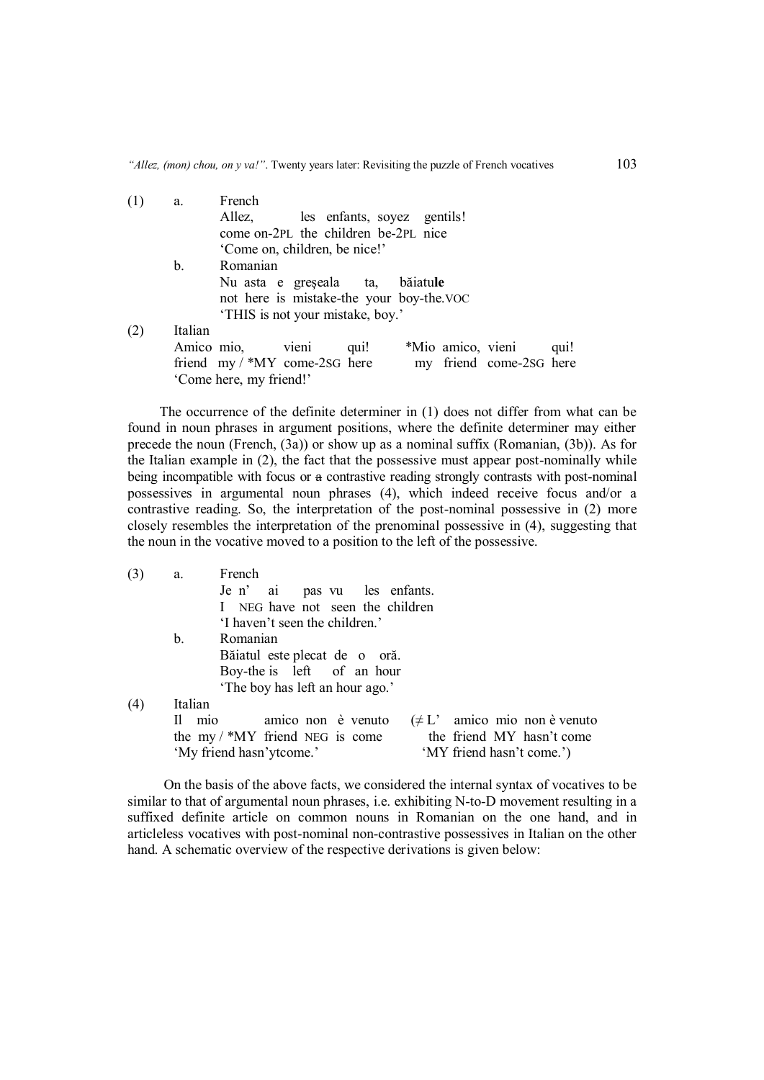| (1) | a.      | French                            |                                          |      |                   |                         |      |
|-----|---------|-----------------------------------|------------------------------------------|------|-------------------|-------------------------|------|
|     |         | Allez,                            | les enfants, soyez gentils!              |      |                   |                         |      |
|     |         |                                   | come on-2PL the children be-2PL nice     |      |                   |                         |      |
|     |         |                                   | 'Come on, children, be nice!'            |      |                   |                         |      |
|     | b.      | Romanian                          |                                          |      |                   |                         |      |
|     |         | Nu asta e greșeala ta, băiatule   |                                          |      |                   |                         |      |
|     |         |                                   | not here is mistake-the your boy-the.VOC |      |                   |                         |      |
|     |         |                                   | 'THIS is not your mistake, boy.'         |      |                   |                         |      |
| (2) | Italian |                                   |                                          |      |                   |                         |      |
|     |         | Amico mio, vieni                  |                                          | qui! | *Mio amico, vieni |                         | qui! |
|     |         | friend $my$ / $*MY$ come-2sG here |                                          |      |                   | my friend come-2sG here |      |
|     |         | 'Come here, my friend!'           |                                          |      |                   |                         |      |

The occurrence of the definite determiner in (1) does not differ from what can be found in noun phrases in argument positions, where the definite determiner may either precede the noun (French, (3a)) or show up as a nominal suffix (Romanian, (3b)). As for the Italian example in (2), the fact that the possessive must appear post-nominally while being incompatible with focus or a contrastive reading strongly contrasts with post-nominal possessives in argumental noun phrases (4), which indeed receive focus and/or a contrastive reading. So, the interpretation of the post-nominal possessive in (2) more closely resembles the interpretation of the prenominal possessive in (4), suggesting that the noun in the vocative moved to a position to the left of the possessive.

| (3) | a.      | French                                                         |
|-----|---------|----------------------------------------------------------------|
|     |         | Je n' ai pas vu les enfants.                                   |
|     |         | I NEG have not seen the children                               |
|     |         | 'I haven't seen the children.'                                 |
|     | b.      | Romanian                                                       |
|     |         | Băiatul este plecat de o oră.                                  |
|     |         | Boy-the is left of an hour                                     |
|     |         | 'The boy has left an hour ago.'                                |
| (4) | Italian |                                                                |
|     | Il mio  | $(\neq L'$ amico mio non è venuto<br>amico non è venuto        |
|     |         | the friend MY hasn't come<br>the my $/$ *MY friend NEG is come |
|     |         | 'My friend hasn'y tcome.'<br>'MY friend hasn't come.')         |
|     |         |                                                                |

On the basis of the above facts, we considered the internal syntax of vocatives to be similar to that of argumental noun phrases, i.e. exhibiting N-to-D movement resulting in a suffixed definite article on common nouns in Romanian on the one hand, and in articleless vocatives with post-nominal non-contrastive possessives in Italian on the other hand. A schematic overview of the respective derivations is given below: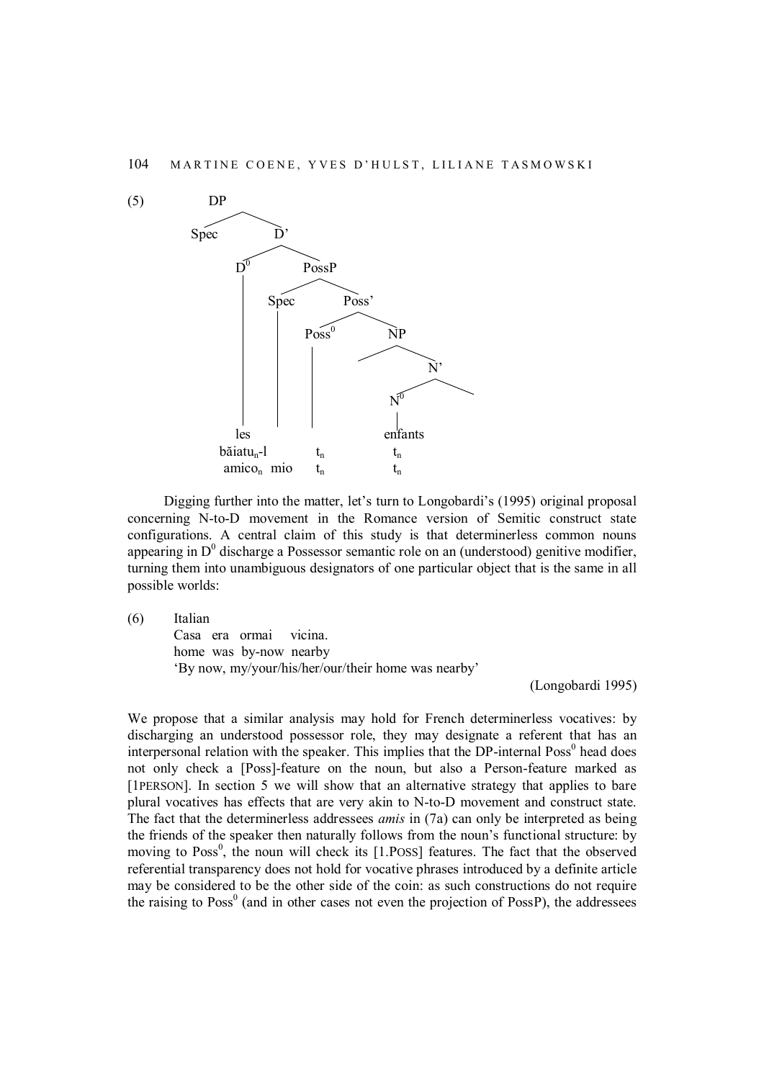

Digging further into the matter, let's turn to Longobardi's (1995) original proposal concerning N-to-D movement in the Romance version of Semitic construct state configurations. A central claim of this study is that determinerless common nouns appearing in  $D^0$  discharge a Possessor semantic role on an (understood) genitive modifier, turning them into unambiguous designators of one particular object that is the same in all possible worlds:

(6) Italian Casa era ormai vicina. home was by-now nearby 'By now, my/your/his/her/our/their home was nearby'

(Longobardi 1995)

We propose that a similar analysis may hold for French determinerless vocatives: by discharging an understood possessor role, they may designate a referent that has an interpersonal relation with the speaker. This implies that the DP-internal Poss<sup>0</sup> head does not only check a [Poss]-feature on the noun, but also a Person-feature marked as [1PERSON]. In section 5 we will show that an alternative strategy that applies to bare plural vocatives has effects that are very akin to N-to-D movement and construct state. The fact that the determinerless addressees *amis* in (7a) can only be interpreted as being the friends of the speaker then naturally follows from the noun's functional structure: by moving to  $Poss<sup>0</sup>$ , the noun will check its [1.POSS] features. The fact that the observed referential transparency does not hold for vocative phrases introduced by a definite article may be considered to be the other side of the coin: as such constructions do not require the raising to  $Poss^{0}$  (and in other cases not even the projection of  $PossP$ ), the addressees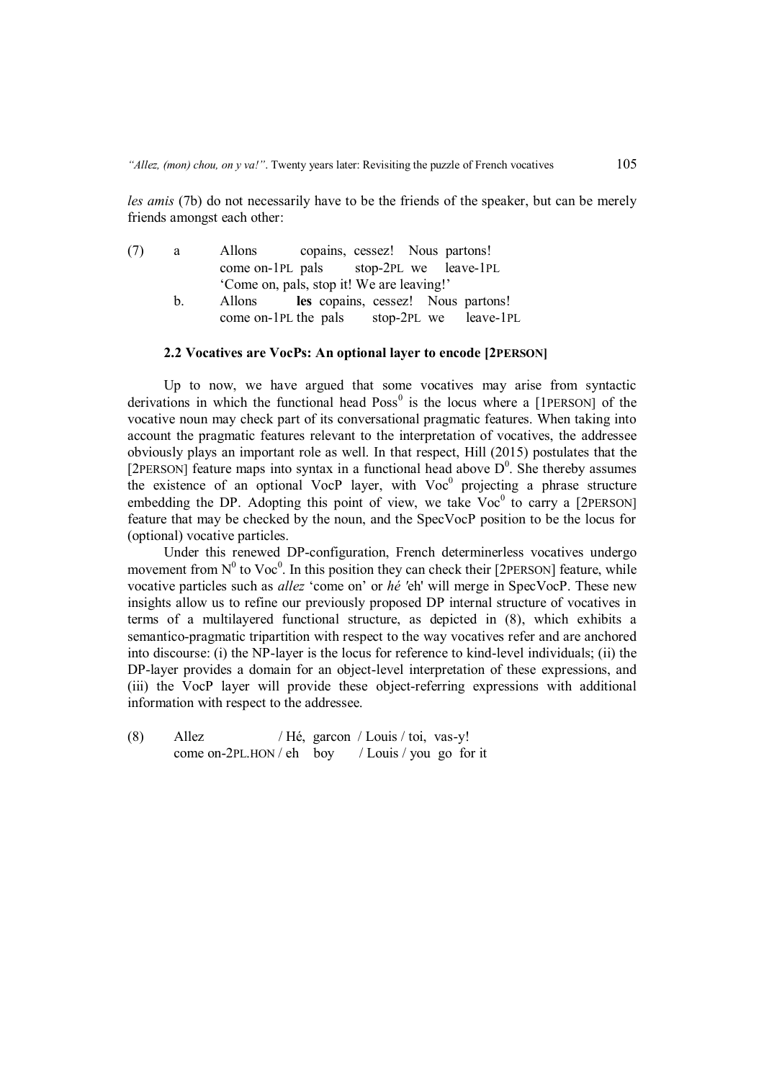*les amis* (7b) do not necessarily have to be the friends of the speaker, but can be merely friends amongst each other:

| (7) | a a     | Allons copains, cessez! Nous partons!        |  |                                    |  |
|-----|---------|----------------------------------------------|--|------------------------------------|--|
|     |         | come on-1PL pals stop-2PL we leave-1PL       |  |                                    |  |
|     |         | 'Come on, pals, stop it! We are leaving!'    |  |                                    |  |
|     | $h_{-}$ | Allons                                       |  | les copains, cessez! Nous partons! |  |
|     |         | come on-1PL the pals $stop-2PL$ we leave-1PL |  |                                    |  |

#### **2.2 Vocatives are VocPs: An optional layer to encode [2PERSON]**

Up to now, we have argued that some vocatives may arise from syntactic derivations in which the functional head  $Poss<sup>0</sup>$  is the locus where a [1PERSON] of the vocative noun may check part of its conversational pragmatic features. When taking into account the pragmatic features relevant to the interpretation of vocatives, the addressee obviously plays an important role as well. In that respect, Hill (2015) postulates that the [2PERSON] feature maps into syntax in a functional head above  $D^0$ . She thereby assumes the existence of an optional VocP layer, with  $Voc<sup>0</sup>$  projecting a phrase structure embedding the DP. Adopting this point of view, we take  $Voc<sup>0</sup>$  to carry a [2PERSON] feature that may be checked by the noun, and the SpecVocP position to be the locus for (optional) vocative particles.

Under this renewed DP-configuration, French determinerless vocatives undergo movement from  $N^0$  to Voc<sup>0</sup>. In this position they can check their [2PERSON] feature, while vocative particles such as *allez* 'come on' or *hé '*eh' will merge in SpecVocP. These new insights allow us to refine our previously proposed DP internal structure of vocatives in terms of a multilayered functional structure, as depicted in (8), which exhibits a semantico-pragmatic tripartition with respect to the way vocatives refer and are anchored into discourse: (i) the NP-layer is the locus for reference to kind-level individuals; (ii) the DP-layer provides a domain for an object-level interpretation of these expressions, and (iii) the VocP layer will provide these object-referring expressions with additional information with respect to the addressee.

(8) Allez / Hé, garcon / Louis / toi, vas-y! come on-2PL.HON / eh boy / Louis / you go for it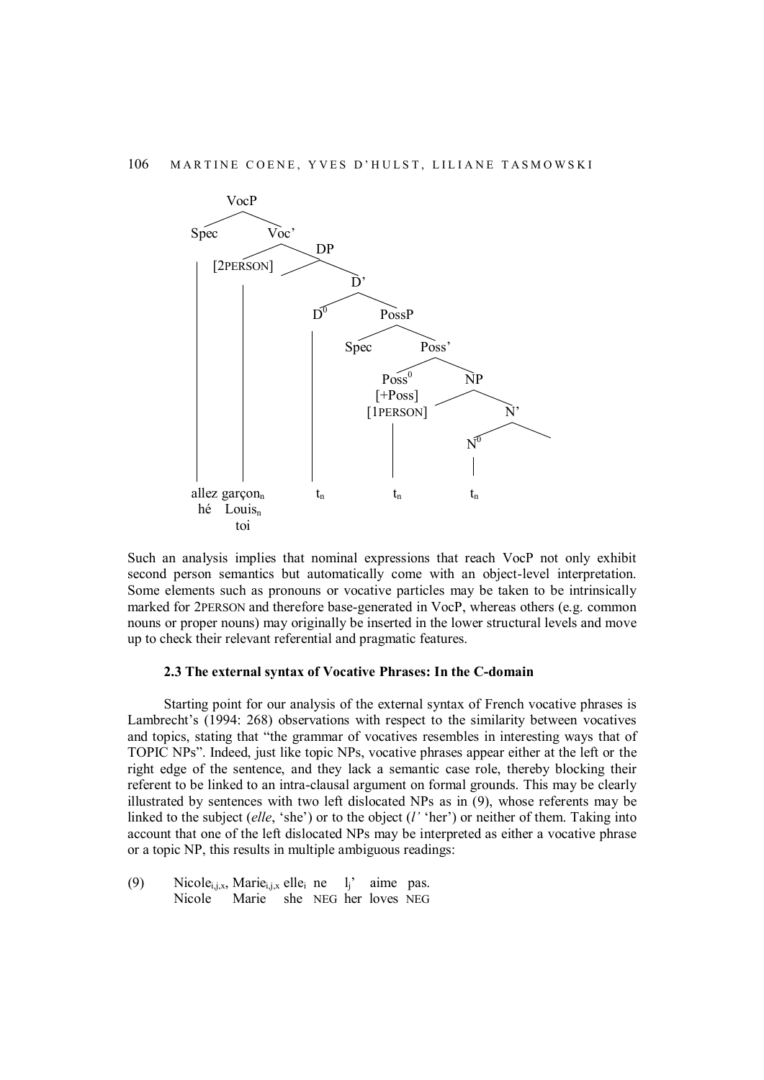

Such an analysis implies that nominal expressions that reach VocP not only exhibit second person semantics but automatically come with an object-level interpretation. Some elements such as pronouns or vocative particles may be taken to be intrinsically marked for 2PERSON and therefore base-generated in VocP, whereas others (e.g. common nouns or proper nouns) may originally be inserted in the lower structural levels and move up to check their relevant referential and pragmatic features.

#### **2.3 The external syntax of Vocative Phrases: In the C-domain**

Starting point for our analysis of the external syntax of French vocative phrases is Lambrecht's (1994: 268) observations with respect to the similarity between vocatives and topics, stating that "the grammar of vocatives resembles in interesting ways that of TOPIC NPs". Indeed, just like topic NPs, vocative phrases appear either at the left or the right edge of the sentence, and they lack a semantic case role, thereby blocking their referent to be linked to an intra-clausal argument on formal grounds. This may be clearly illustrated by sentences with two left dislocated NPs as in (9), whose referents may be linked to the subject (*elle*, 'she') or to the object (*l'* 'her') or neither of them. Taking into account that one of the left dislocated NPs may be interpreted as either a vocative phrase or a topic NP, this results in multiple ambiguous readings:

(9) Nicole<sub>i,j,x</sub>, Marie<sub>i,j,x</sub> elle<sub>i</sub> ne l<sub>i</sub> aime pas. Nicole Marie she NEG her loves NEG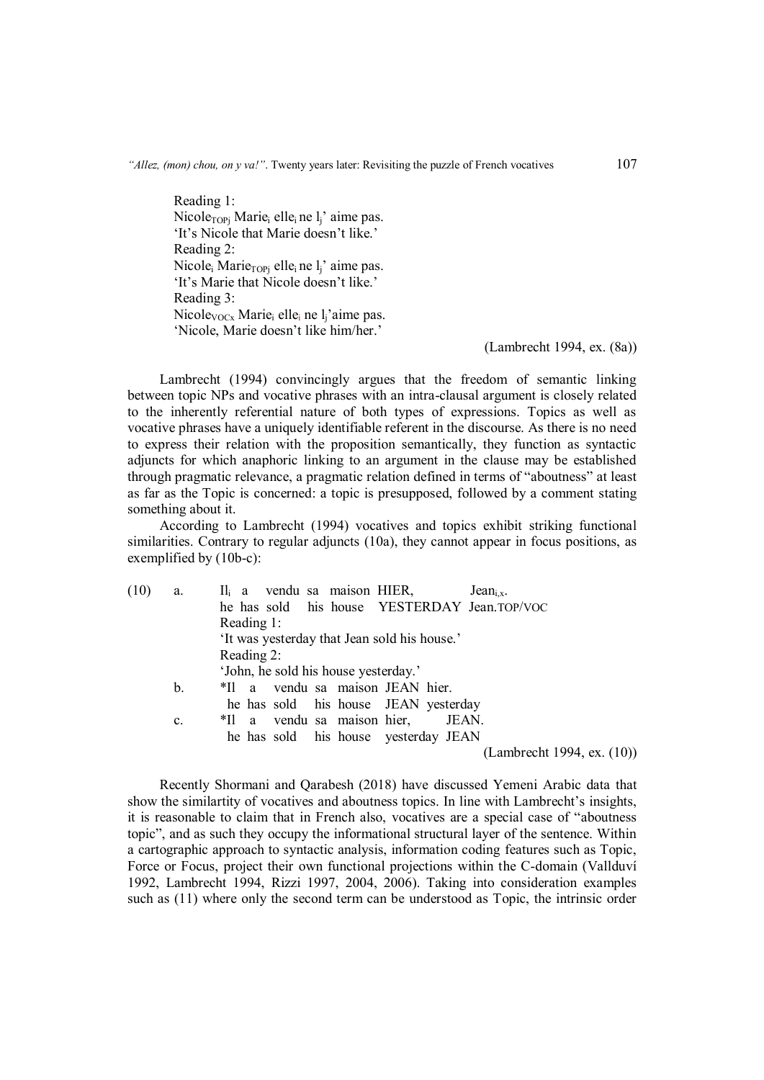Reading 1: Nicole<sub>TOPi</sub> Marie<sub>i</sub> elle<sub>i</sub> ne l<sub>i</sub>' aime pas. 'It's Nicole that Marie doesn't like.' Reading 2: Nicole<sub>i</sub> Marie<sub>TOPi</sub> elle<sub>i</sub> ne l<sub>i</sub>' aime pas. 'It's Marie that Nicole doesn't like.' Reading 3: Nicole<sub>VOCx</sub> Marie<sub>i</sub> elle<sub>i</sub> ne l<sub>i</sub>'aime pas. 'Nicole, Marie doesn't like him/her.'

(Lambrecht 1994, ex. (8a))

Lambrecht (1994) convincingly argues that the freedom of semantic linking between topic NPs and vocative phrases with an intra-clausal argument is closely related to the inherently referential nature of both types of expressions. Topics as well as vocative phrases have a uniquely identifiable referent in the discourse. As there is no need to express their relation with the proposition semantically, they function as syntactic adjuncts for which anaphoric linking to an argument in the clause may be established through pragmatic relevance, a pragmatic relation defined in terms of "aboutness" at least as far as the Topic is concerned: a topic is presupposed, followed by a comment stating something about it.

According to Lambrecht (1994) vocatives and topics exhibit striking functional similarities. Contrary to regular adjuncts (10a), they cannot appear in focus positions, as exemplified by (10b-c):

| (10) | a.             | $II_i$ a vendu sa maison HIER,<br>Jean $_{i.x}.$ |
|------|----------------|--------------------------------------------------|
|      |                | he has sold his house YESTERDAY Jean.TOP/VOC     |
|      |                | Reading 1:                                       |
|      |                | 'It was yesterday that Jean sold his house.'     |
|      |                | Reading 2:                                       |
|      |                | 'John, he sold his house yesterday.'             |
|      | b.             | *Il a vendu sa maison JEAN hier.                 |
|      |                | he has sold his house JEAN yesterday             |
|      | $\mathbf{c}$ . | *Il a vendu sa maison hier,<br>JEAN.             |
|      |                | he has sold his house yesterday JEAN             |
|      |                | (Lambrecht 1994, ex. $(10)$ )                    |
|      |                |                                                  |
|      |                |                                                  |

Recently Shormani and Qarabesh (2018) have discussed Yemeni Arabic data that show the similartity of vocatives and aboutness topics. In line with Lambrecht's insights, it is reasonable to claim that in French also, vocatives are a special case of "aboutness topic", and as such they occupy the informational structural layer of the sentence. Within a cartographic approach to syntactic analysis, information coding features such as Topic, Force or Focus, project their own functional projections within the C-domain (Vallduví 1992, Lambrecht 1994, Rizzi 1997, 2004, 2006). Taking into consideration examples such as (11) where only the second term can be understood as Topic, the intrinsic order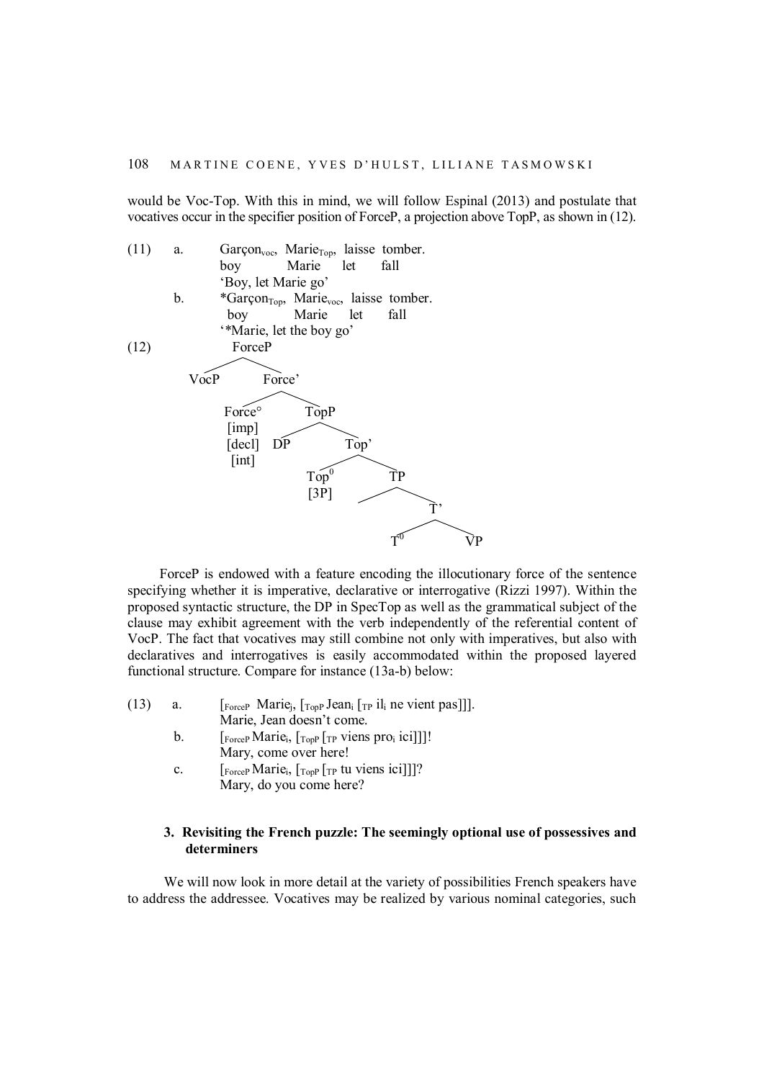would be Voc-Top. With this in mind, we will follow Espinal (2013) and postulate that vocatives occur in the specifier position of ForceP, a projection above TopP, as shown in (12).



ForceP is endowed with a feature encoding the illocutionary force of the sentence specifying whether it is imperative, declarative or interrogative (Rizzi 1997). Within the proposed syntactic structure, the DP in SpecTop as well as the grammatical subject of the clause may exhibit agreement with the verb independently of the referential content of VocP. The fact that vocatives may still combine not only with imperatives, but also with declaratives and interrogatives is easily accommodated within the proposed layered functional structure. Compare for instance (13a-b) below:

- (13) a.  $\left[\begin{array}{cc} \text{ForceP} \end{array} \text{ Marie}_j, \begin{bmatrix} \text{TopP} \text{Jean}_i \end{bmatrix} \begin{bmatrix} \text{TP} \text{ il}_i \end{bmatrix} \text{ne} \text{vient pas} \end{bmatrix} \right]$ Marie, Jean doesn't come.
	- b.  $\left[\begin{matrix} F_{\text{force}} \\ \text{H} \end{matrix} \right]$  [ $\left[\begin{matrix} F_{\text{opp}} \\ \text{F} \end{matrix} \right]$  [ $\left[\begin{matrix} F_{\text{prop}} \\ \text{F} \end{matrix} \right]$  [ $\left[\begin{matrix} F_{\text{prop}} \\ \text{F} \end{matrix} \right]$ ]] Mary, come over here!
	- c.  $\left[\begin{matrix} F_{\text{orceP}} \text{Marie}_{i}, \begin{matrix} T_{\text{opp}} \end{matrix} \left[ \begin{matrix} T_{\text{P}} \text{tu} \end{matrix} \text{viens } \text{ici} \end{matrix} \right] \right]$ ? Mary, do you come here?

## **3. Revisiting the French puzzle: The seemingly optional use of possessives and determiners**

We will now look in more detail at the variety of possibilities French speakers have to address the addressee. Vocatives may be realized by various nominal categories, such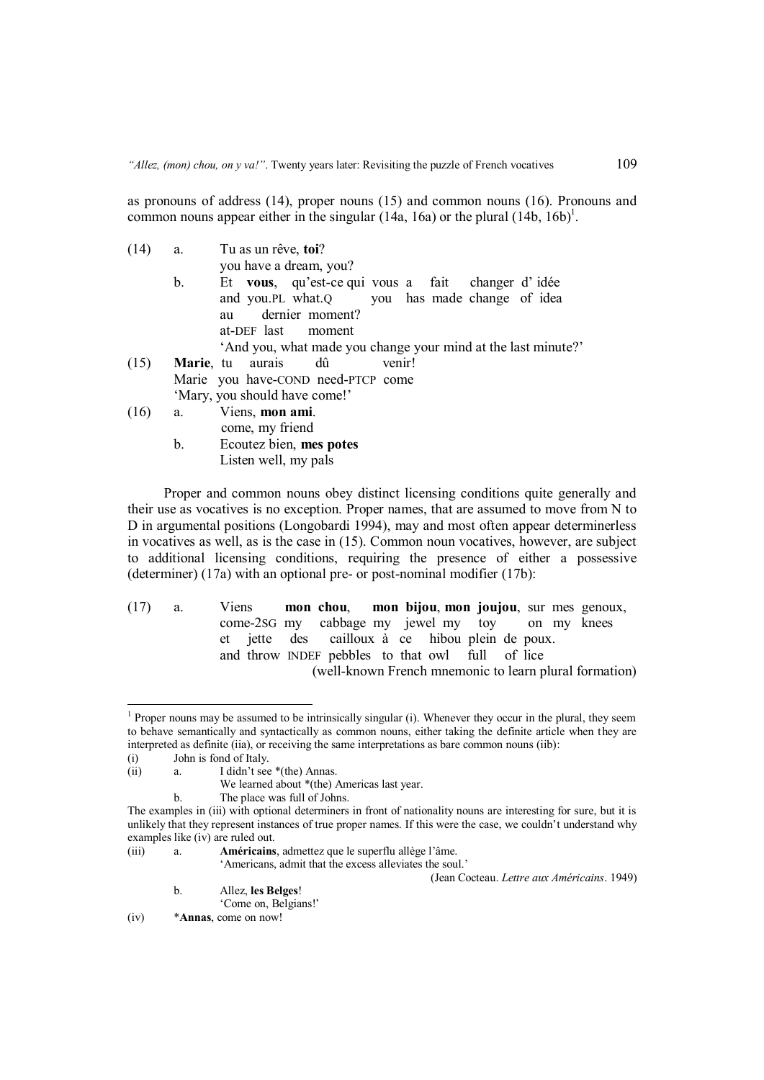as pronouns of address (14), proper nouns (15) and common nouns (16). Pronouns and common nouns appear either in the singular  $(14a, 16a)$  or the plural  $(14b, 16b)^{1}$ .

(14) a. Tu as un rêve, **toi**? you have a dream, you? b. Et **vous**, qu'est-ce qui vous a fait changer d' idée and you.PL what.Q you has made change of idea au dernier moment? at-DEF last moment 'And you, what made you change your mind at the last minute?' (15) **Marie**, tu aurais dû venir! Marie you have-COND need-PTCP come

'Mary, you should have come!'

(16) a. Viens, **mon ami**. come, my friend b. Ecoutez bien, **mes potes** Listen well, my pals

Proper and common nouns obey distinct licensing conditions quite generally and their use as vocatives is no exception. Proper names, that are assumed to move from N to D in argumental positions (Longobardi 1994), may and most often appear determinerless in vocatives as well, as is the case in (15). Common noun vocatives, however, are subject to additional licensing conditions, requiring the presence of either a possessive (determiner) (17a) with an optional pre- or post-nominal modifier (17b):

(17) a. Viens **mon chou**, **mon bijou**, **mon joujou**, sur mes genoux, come-2SG my cabbage my jewel my toy on my knees et jette des cailloux à ce hibou plein de poux. and throw INDEF pebbles to that owl full of lice (well-known French mnemonic to learn plural formation)

1

The place was full of Johns.

'Americans, admit that the excess alleviates the soul.'

(Jean Cocteau. *Lettre aux Américains*. 1949)

b. Allez, **les Belges**!

'Come on, Belgians!'

<sup>&</sup>lt;sup>1</sup> Proper nouns may be assumed to be intrinsically singular (i). Whenever they occur in the plural, they seem to behave semantically and syntactically as common nouns, either taking the definite article when they are interpreted as definite (iia), or receiving the same interpretations as bare common nouns (iib):

<sup>(</sup>i) John is fond of Italy.

<sup>(</sup>ii) a. I didn't see \*(the) Annas.

We learned about \*(the) Americas last year.

The examples in (iii) with optional determiners in front of nationality nouns are interesting for sure, but it is unlikely that they represent instances of true proper names. If this were the case, we couldn't understand why examples like (iv) are ruled out.

<sup>(</sup>iii) a. **Américains**, admettez que le superflu allège l'âme.

<sup>(</sup>iv) \***Annas**, come on now!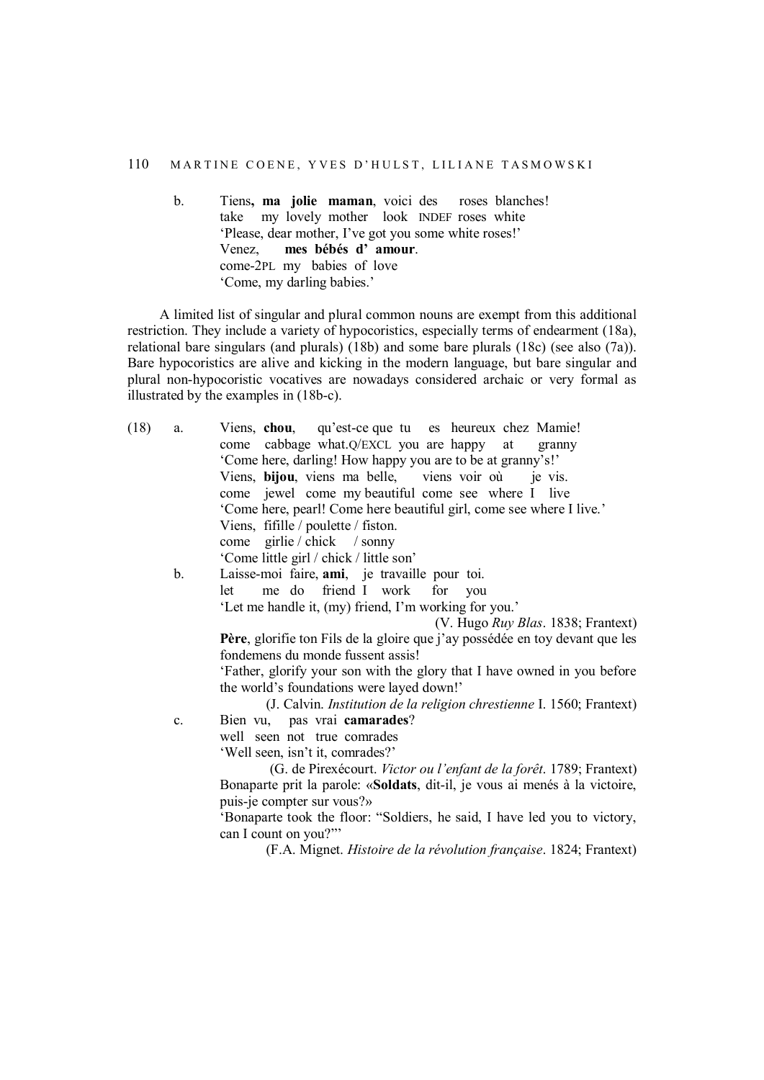b. Tiens**, ma jolie maman**, voici des roses blanches! take my lovely mother look INDEF roses white 'Please, dear mother, I've got you some white roses!' Venez, **mes bébés d' amour**. come-2PL my babies of love 'Come, my darling babies.'

A limited list of singular and plural common nouns are exempt from this additional restriction. They include a variety of hypocoristics, especially terms of endearment (18a), relational bare singulars (and plurals) (18b) and some bare plurals (18c) (see also (7a)). Bare hypocoristics are alive and kicking in the modern language, but bare singular and plural non-hypocoristic vocatives are nowadays considered archaic or very formal as illustrated by the examples in (18b-c).

| (V. Hugo Ruy Blas. 1838; Frantext)                                           |
|------------------------------------------------------------------------------|
| Père, glorifie ton Fils de la gloire que j'ay possédée en toy devant que les |
|                                                                              |
| 'Father, glorify your son with the glory that I have owned in you before     |
|                                                                              |
| (J. Calvin. Institution de la religion chrestienne I. 1560; Frantext)        |
|                                                                              |
|                                                                              |
|                                                                              |
| (G. de Pirexécourt. Victor ou l'enfant de la forêt. 1789; Frantext)          |
| Bonaparte prit la parole: «Soldats, dit-il, je vous ai menés à la victoire,  |
|                                                                              |
| 'Bonaparte took the floor: "Soldiers, he said, I have led you to victory,    |
|                                                                              |
|                                                                              |
| (F.A. Mignet. Histoire de la révolution française. 1824; Frantext)           |
|                                                                              |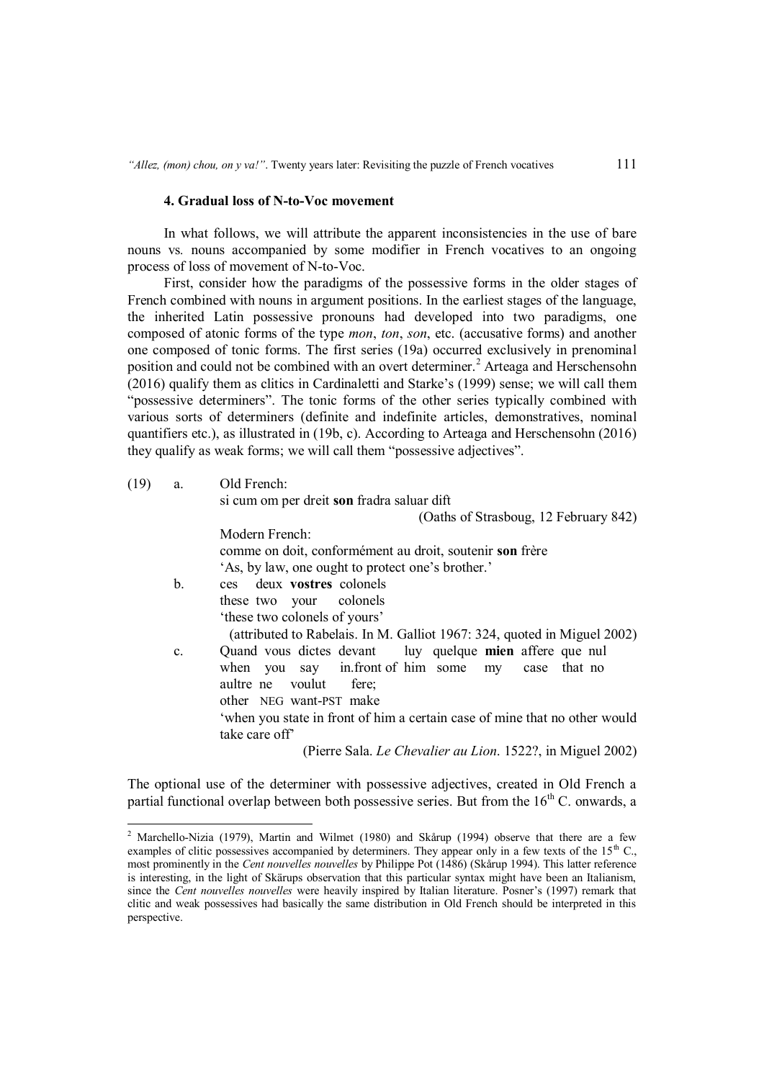#### **4. Gradual loss of N-to-Voc movement**

In what follows, we will attribute the apparent inconsistencies in the use of bare nouns vs*.* nouns accompanied by some modifier in French vocatives to an ongoing process of loss of movement of N-to-Voc.

First, consider how the paradigms of the possessive forms in the older stages of French combined with nouns in argument positions. In the earliest stages of the language, the inherited Latin possessive pronouns had developed into two paradigms, one composed of atonic forms of the type *mon*, *ton*, *son*, etc. (accusative forms) and another one composed of tonic forms. The first series (19a) occurred exclusively in prenominal position and could not be combined with an overt determiner.<sup>2</sup> Arteaga and Herschensohn (2016) qualify them as clitics in Cardinaletti and Starke's (1999) sense; we will call them "possessive determiners". The tonic forms of the other series typically combined with various sorts of determiners (definite and indefinite articles, demonstratives, nominal quantifiers etc.), as illustrated in (19b, c). According to Arteaga and Herschensohn (2016) they qualify as weak forms; we will call them "possessive adjectives".

| (19)<br>a. | Old French: |
|------------|-------------|
|------------|-------------|

-

Modern French:

si cum om per dreit **son** fradra saluar dift

(Oaths of Strasboug, 12 February 842)

|                | comme on doit, conformément au droit, soutenir son frère<br>'As, by law, one ought to protect one's brother.' |
|----------------|---------------------------------------------------------------------------------------------------------------|
| b.             | ces deux vostres colonels                                                                                     |
|                | these two your colonels                                                                                       |
|                | 'these two colonels of yours'                                                                                 |
|                | (attributed to Rabelais. In M. Galliot 1967: 324, quoted in Miguel 2002)                                      |
| $\mathbf{c}$ . | Quand vous dictes devant luy quelque mien affere que nul                                                      |
|                | when you say infront of him some my case that no                                                              |
|                | aultre ne voulut fere;                                                                                        |
|                | other NEG want-PST make                                                                                       |
|                | 'when you state in front of him a certain case of mine that no other would                                    |
|                | take care of f                                                                                                |
|                | (Pierre Sala. Le Chevalier au Lion. 1522?, in Miguel 2002)                                                    |

The optional use of the determiner with possessive adjectives, created in Old French a partial functional overlap between both possessive series. But from the  $16<sup>th</sup>$  C. onwards, a

<sup>&</sup>lt;sup>2</sup> Marchello-Nizia (1979), Martin and Wilmet (1980) and Skårup (1994) observe that there are a few examples of clitic possessives accompanied by determiners. They appear only in a few texts of the  $15<sup>th</sup>$  C., most prominently in the *Cent nouvelles nouvelles* by Philippe Pot (1486) (Skårup 1994). This latter reference is interesting, in the light of Skärups observation that this particular syntax might have been an Italianism, since the *Cent nouvelles nouvelles* were heavily inspired by Italian literature. Posner's (1997) remark that clitic and weak possessives had basically the same distribution in Old French should be interpreted in this perspective.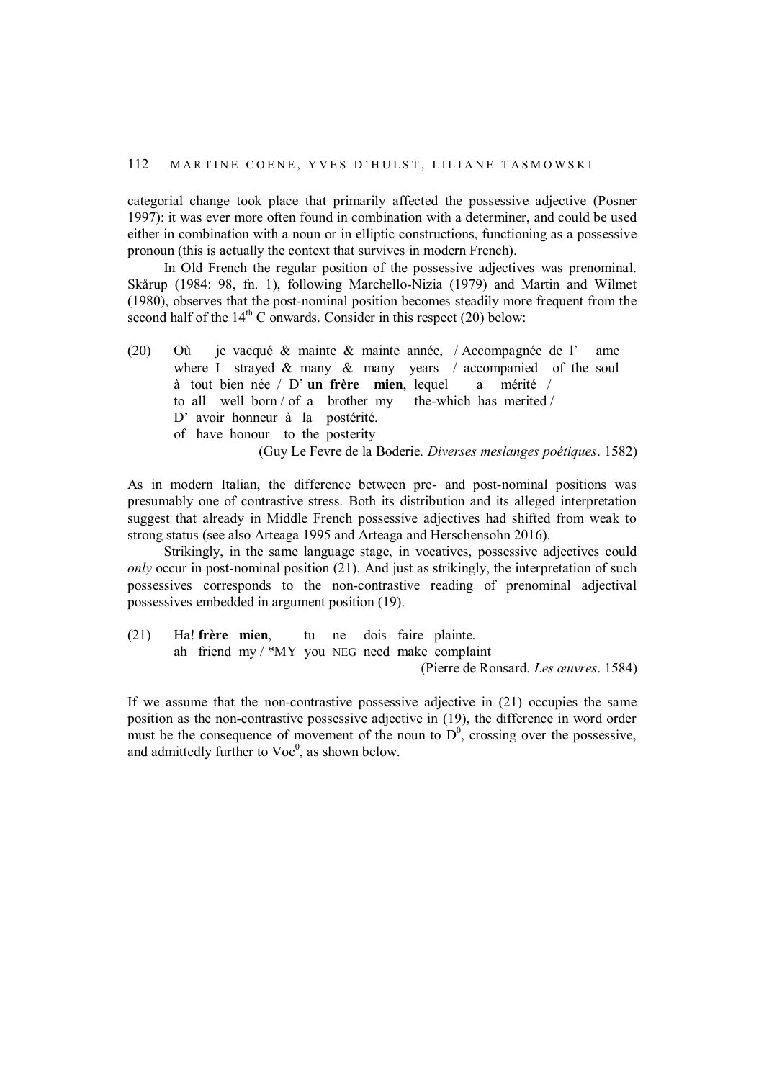categorial change took place that primarily affected the possessive adjective (Posner 1997): it was ever more often found in combination with a determiner, and could be used either in combination with a noun or in elliptic constructions, functioning as a possessive pronoun (this is actually the context that survives in modern French).

In Old French the regular position of the possessive adjectives was prenominal. Skårup (1984: 98, fn. 1), following Marchello-Nizia (1979) and Martin and Wilmet (1980), observes that the post-nominal position becomes steadily more frequent from the second half of the  $14<sup>th</sup>$  C onwards. Consider in this respect (20) below:

(20) Où je vacqué & mainte & mainte année, / Accompagnée de l' ame where I strayed & many & many years / accompanied of the soul à tout bien née / D' **un frère mien**, lequel a mérité / to all well born / of a brother my the-which has merited / D' avoir honneur à la postérité. of have honour to the posterity (Guy Le Fevre de la Boderie. *Diverses meslanges poétiques*. 1582)

As in modern Italian, the difference between pre- and post-nominal positions was presumably one of contrastive stress. Both its distribution and its alleged interpretation suggest that already in Middle French possessive adjectives had shifted from weak to strong status (see also Arteaga 1995 and Arteaga and Herschensohn 2016).

Strikingly, in the same language stage, in vocatives, possessive adjectives could *only* occur in post-nominal position (21). And just as strikingly, the interpretation of such possessives corresponds to the non-contrastive reading of prenominal adjectival possessives embedded in argument position (19).

(21) Ha! **frère mien**, tu ne dois faire plainte. ah friend my / \*MY you NEG need make complaint (Pierre de Ronsard. *Les œuvres*. 1584)

If we assume that the non-contrastive possessive adjective in (21) occupies the same position as the non-contrastive possessive adjective in (19), the difference in word order must be the consequence of movement of the noun to  $D^0$ , crossing over the possessive, and admittedly further to  $Voc^0$ , as shown below.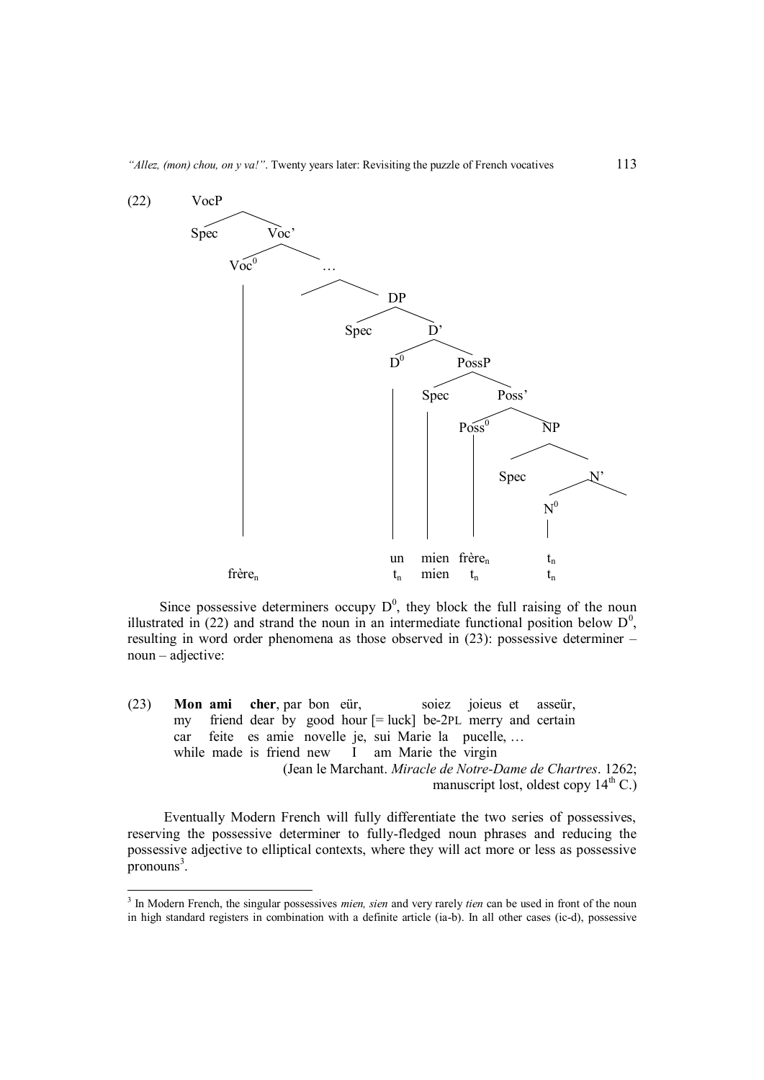

Since possessive determiners occupy  $D^0$ , they block the full raising of the noun illustrated in (22) and strand the noun in an intermediate functional position below  $D^0$ , resulting in word order phenomena as those observed in (23): possessive determiner – noun – adjective:

(23) **Mon ami cher**, par bon eür, soiez joieus et asseür, my friend dear by good hour [= luck] be-2PL merry and certain car feite es amie novelle je, sui Marie la pucelle, … while made is friend new I am Marie the virgin (Jean le Marchant. *Miracle de Notre-Dame de Chartres*. 1262; manuscript lost, oldest copy  $14<sup>th</sup>$  C.)

Eventually Modern French will fully differentiate the two series of possessives, reserving the possessive determiner to fully-fledged noun phrases and reducing the possessive adjective to elliptical contexts, where they will act more or less as possessive pronouns<sup>3</sup>.

1

<sup>3</sup> In Modern French, the singular possessives *mien, sien* and very rarely *tien* can be used in front of the noun in high standard registers in combination with a definite article (ia-b). In all other cases (ic-d), possessive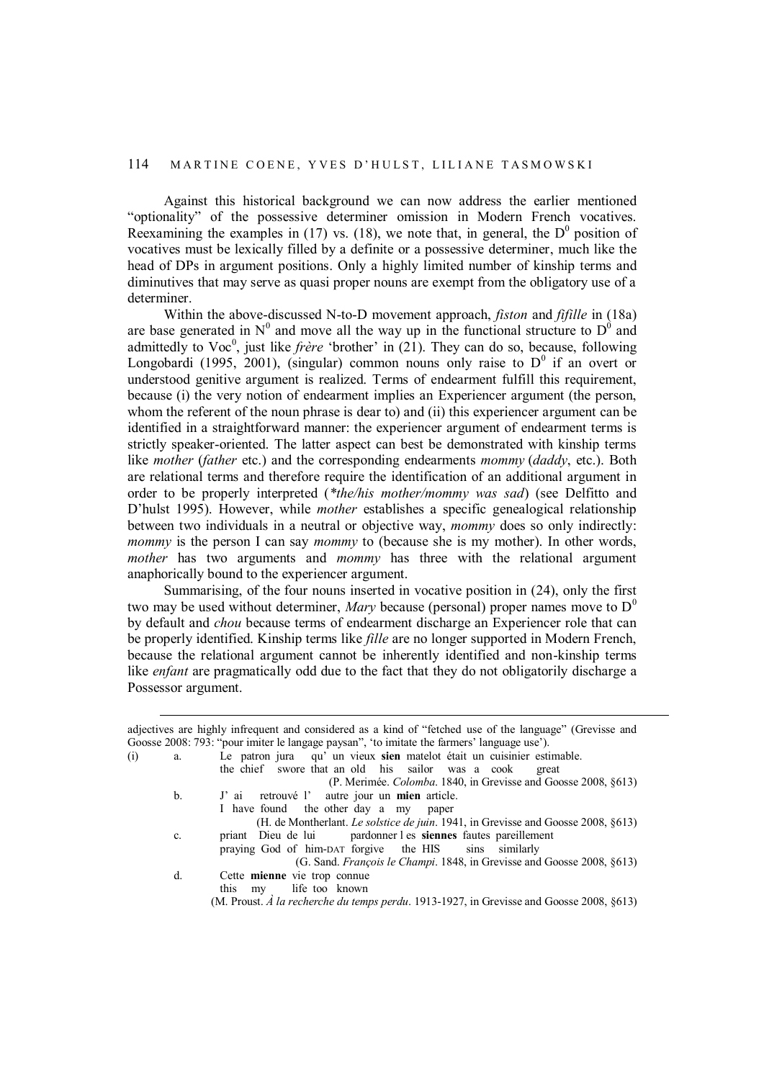Against this historical background we can now address the earlier mentioned "optionality" of the possessive determiner omission in Modern French vocatives. Reexamining the examples in (17) vs. (18), we note that, in general, the  $D^0$  position of vocatives must be lexically filled by a definite or a possessive determiner, much like the head of DPs in argument positions. Only a highly limited number of kinship terms and diminutives that may serve as quasi proper nouns are exempt from the obligatory use of a determiner.

Within the above-discussed N-to-D movement approach, *fiston* and *fifille* in (18a) are base generated in  $N^0$  and move all the way up in the functional structure to  $D^0$  and admittedly to Voc<sup>0</sup>, just like *frère* 'brother' in  $(21)$ . They can do so, because, following Longobardi (1995, 2001), (singular) common nouns only raise to  $D^0$  if an overt or understood genitive argument is realized. Terms of endearment fulfill this requirement, because (i) the very notion of endearment implies an Experiencer argument (the person, whom the referent of the noun phrase is dear to) and (ii) this experiencer argument can be identified in a straightforward manner: the experiencer argument of endearment terms is strictly speaker-oriented. The latter aspect can best be demonstrated with kinship terms like *mother* (*father* etc.) and the corresponding endearments *mommy* (*daddy*, etc.). Both are relational terms and therefore require the identification of an additional argument in order to be properly interpreted (*\*the/his mother/mommy was sad*) (see Delfitto and D'hulst 1995). However, while *mother* establishes a specific genealogical relationship between two individuals in a neutral or objective way, *mommy* does so only indirectly: *mommy* is the person I can say *mommy* to (because she is my mother). In other words, *mother* has two arguments and *mommy* has three with the relational argument anaphorically bound to the experiencer argument.

Summarising, of the four nouns inserted in vocative position in (24), only the first two may be used without determiner, *Mary* because (personal) proper names move to  $D^0$ by default and *chou* because terms of endearment discharge an Experiencer role that can be properly identified. Kinship terms like *fille* are no longer supported in Modern French, because the relational argument cannot be inherently identified and non-kinship terms like *enfant* are pragmatically odd due to the fact that they do not obligatorily discharge a Possessor argument.

 $\overline{a}$ 

|     |    | adjectives are highly infrequent and considered as a kind of "fetched use of the language" (Grevisse and |
|-----|----|----------------------------------------------------------------------------------------------------------|
|     |    | Goosse 2008: 793: "pour imiter le langage paysan", 'to imitate the farmers' language use').              |
| (i) | a. | Le patron jura qu' un vieux sien matelot était un cuisinier estimable.                                   |
|     |    | the chief swore that an old his sailor was a cook<br>great                                               |
|     |    | (P. Merimée. <i>Colomba.</i> 1840, in Grevisse and Goosse 2008, §613)                                    |
|     | b. | J' ai retrouvé l' autre jour un mien article.                                                            |
|     |    | I have found the other day a my paper                                                                    |
|     |    | (H. de Montherlant. Le solstice de juin. 1941, in Grevisse and Goosse 2008, §613)                        |
|     | c. | priant Dieu de lui pardonner l es siennes fautes pareillement                                            |
|     |    | praying God of him-DAT forgive the HIS sins similarly                                                    |
|     |    | (G. Sand. François le Champi. 1848, in Grevisse and Goosse 2008, §613)                                   |
|     | d. | Cette mienne vie trop connue                                                                             |
|     |    | this my life too known                                                                                   |
|     |    | (M. Proust. A la recherche du temps perdu. 1913-1927, in Grevisse and Goosse 2008, $\S 613$ )            |
|     |    |                                                                                                          |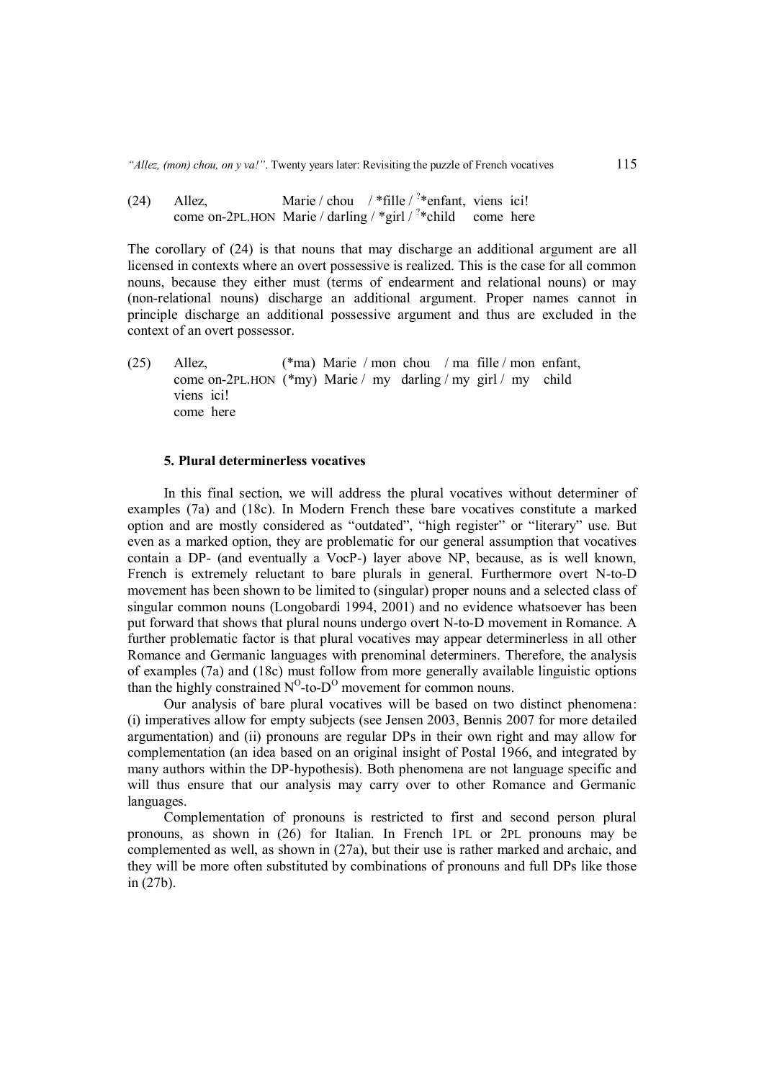(24) Allez, Marie / chou / \*fille / ?\* enfant, viens ici! come on-2PL.HON Marie / darling / \*girl / <sup>?</sup>\*child come here

The corollary of (24) is that nouns that may discharge an additional argument are all licensed in contexts where an overt possessive is realized. This is the case for all common nouns, because they either must (terms of endearment and relational nouns) or may (non-relational nouns) discharge an additional argument. Proper names cannot in principle discharge an additional possessive argument and thus are excluded in the context of an overt possessor.

(25) Allez, (\*ma) Marie / mon chou / ma fille / mon enfant, come on-2PL.HON (\*my) Marie / my darling / my girl / my child viens ici! come here

#### **5. Plural determinerless vocatives**

In this final section, we will address the plural vocatives without determiner of examples (7a) and (18c). In Modern French these bare vocatives constitute a marked option and are mostly considered as "outdated", "high register" or "literary" use. But even as a marked option, they are problematic for our general assumption that vocatives contain a DP- (and eventually a VocP-) layer above NP, because, as is well known, French is extremely reluctant to bare plurals in general. Furthermore overt N-to-D movement has been shown to be limited to (singular) proper nouns and a selected class of singular common nouns (Longobardi 1994, 2001) and no evidence whatsoever has been put forward that shows that plural nouns undergo overt N-to-D movement in Romance. A further problematic factor is that plural vocatives may appear determinerless in all other Romance and Germanic languages with prenominal determiners. Therefore, the analysis of examples (7a) and (18c) must follow from more generally available linguistic options than the highly constrained  $N^O$ -to- $D^O$  movement for common nouns.

Our analysis of bare plural vocatives will be based on two distinct phenomena: (i) imperatives allow for empty subjects (see Jensen 2003, Bennis 2007 for more detailed argumentation) and (ii) pronouns are regular DPs in their own right and may allow for complementation (an idea based on an original insight of Postal 1966, and integrated by many authors within the DP-hypothesis). Both phenomena are not language specific and will thus ensure that our analysis may carry over to other Romance and Germanic languages.

Complementation of pronouns is restricted to first and second person plural pronouns, as shown in (26) for Italian. In French 1PL or 2PL pronouns may be complemented as well, as shown in (27a), but their use is rather marked and archaic, and they will be more often substituted by combinations of pronouns and full DPs like those in (27b).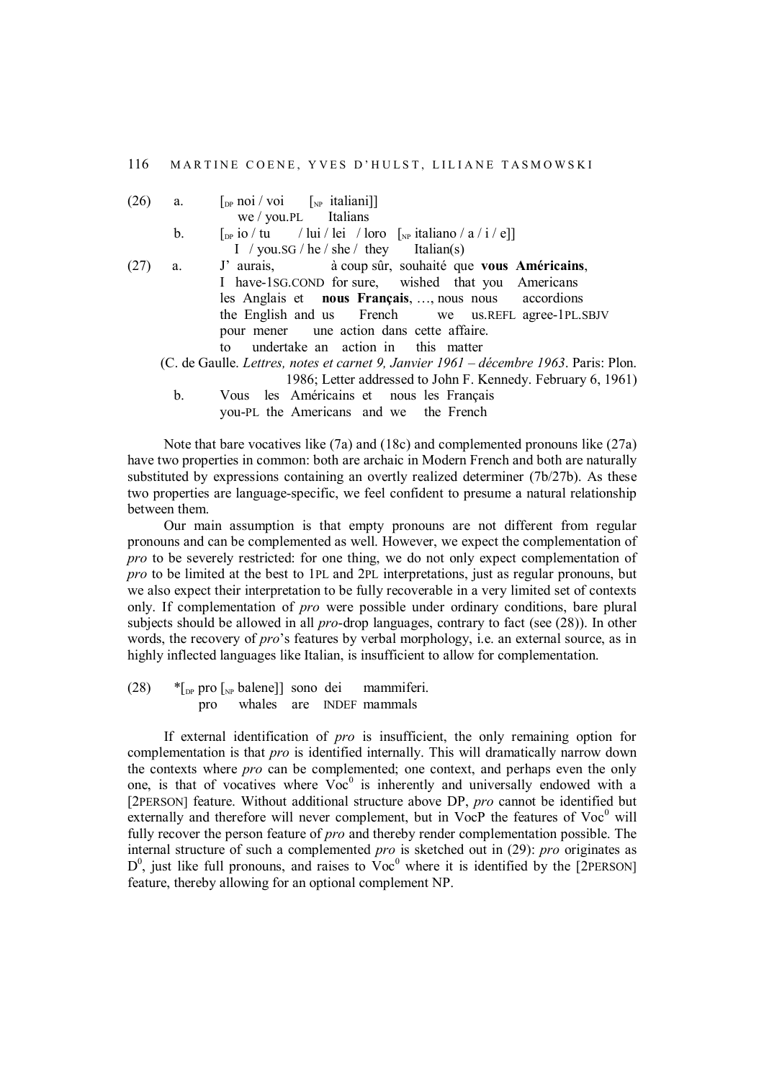| (26) | a. | $\lceil_{\text{DP}} \text{noi} / \text{voi} \rceil \rceil_{\text{NP}}$ italiani]                                                                            |
|------|----|-------------------------------------------------------------------------------------------------------------------------------------------------------------|
|      |    | $we / you.PL$ Italians                                                                                                                                      |
|      | b. | $\lceil_{\text{DP}}\text{io}/\text{tu}\rceil / \text{lui}/\text{lei}/\text{lor}\rceil$ $\lceil_{\text{NP}}\text{italiano}/\text{a}/\text{i}/\text{e}\rceil$ |
|      |    | I / you.sG / he / she / they Italian(s)                                                                                                                     |
| (27) | a. | J' aurais, à coup sûr, souhaité que vous Américains,                                                                                                        |
|      |    | I have-1SG.COND for sure, wished that you Americans                                                                                                         |
|      |    | les Anglais et nous Français, , nous nous accordions                                                                                                        |
|      |    | the English and us French we us. REFL agree-1PL. SBJV                                                                                                       |
|      |    | pour mener une action dans cette affaire.                                                                                                                   |
|      |    | to undertake an action in this matter                                                                                                                       |
|      |    | (C. de Gaulle. Lettres, notes et carnet 9, Janvier 1961 – décembre 1963. Paris: Plon.                                                                       |
|      |    | 1986; Letter addressed to John F. Kennedy. February 6, 1961)                                                                                                |
|      | b. | Vous les Américains et nous les Français                                                                                                                    |
|      |    | you-PL the Americans and we the French                                                                                                                      |
|      |    |                                                                                                                                                             |

Note that bare vocatives like (7a) and (18c) and complemented pronouns like (27a) have two properties in common: both are archaic in Modern French and both are naturally substituted by expressions containing an overtly realized determiner (7b/27b). As these two properties are language-specific, we feel confident to presume a natural relationship between them.

Our main assumption is that empty pronouns are not different from regular pronouns and can be complemented as well. However, we expect the complementation of *pro* to be severely restricted: for one thing, we do not only expect complementation of *pro* to be limited at the best to 1PL and 2PL interpretations, just as regular pronouns, but we also expect their interpretation to be fully recoverable in a very limited set of contexts only. If complementation of *pro* were possible under ordinary conditions, bare plural subjects should be allowed in all *pro*-drop languages, contrary to fact (see (28)). In other words, the recovery of *pro*'s features by verbal morphology, i.e. an external source, as in highly inflected languages like Italian, is insufficient to allow for complementation.

(28)  $*_{\text{DP}}$  pro  $\lceil_{\text{NP}}$  balene] sono dei mammiferi. pro whales are INDEF mammals

If external identification of *pro* is insufficient, the only remaining option for complementation is that *pro* is identified internally. This will dramatically narrow down the contexts where *pro* can be complemented; one context, and perhaps even the only one, is that of vocatives where  $\overline{Voc}^0$  is inherently and universally endowed with a [2PERSON] feature. Without additional structure above DP, *pro* cannot be identified but externally and therefore will never complement, but in VocP the features of  $Voc<sup>0</sup>$  will fully recover the person feature of *pro* and thereby render complementation possible. The internal structure of such a complemented *pro* is sketched out in (29): *pro* originates as  $D^0$ , just like full pronouns, and raises to  $\rm{Vec}^0$  where it is identified by the [2PERSON] feature, thereby allowing for an optional complement NP.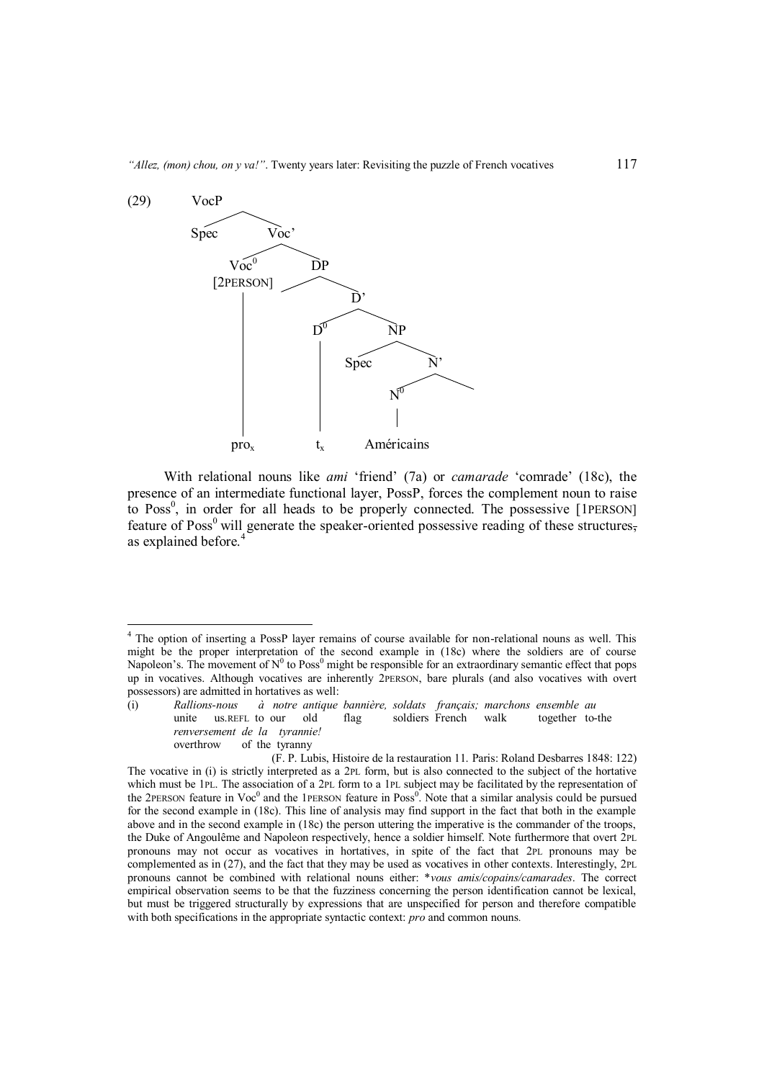

With relational nouns like *ami* 'friend' (7a) or *camarade* 'comrade' (18c), the presence of an intermediate functional layer, PossP, forces the complement noun to raise to Poss<sup>0</sup>, in order for all heads to be properly connected. The possessive [1PERSON] feature of Poss<sup>0</sup> will generate the speaker-oriented possessive reading of these structures, as explained before.<sup>4</sup>

1

<sup>&</sup>lt;sup>4</sup> The option of inserting a PossP layer remains of course available for non-relational nouns as well. This might be the proper interpretation of the second example in (18c) where the soldiers are of course Napoleon's. The movement of  $N^0$  to Poss<sup>0</sup> might be responsible for an extraordinary semantic effect that pops up in vocatives. Although vocatives are inherently 2PERSON, bare plurals (and also vocatives with overt possessors) are admitted in hortatives as well:

<sup>(</sup>i) *Rallions-nous à notre antique bannière, soldats français; marchons ensemble au* unite us.REFL to our old flag soldiers French walk together to-the *renversement de la tyrannie!*

overthrow of the tyranny

<sup>(</sup>F. P. Lubis, Histoire de la restauration 11. Paris: Roland Desbarres 1848: 122) The vocative in (i) is strictly interpreted as a 2PL form, but is also connected to the subject of the hortative which must be 1PL. The association of a 2PL form to a 1PL subject may be facilitated by the representation of the 2PERSON feature in  $Voc^0$  and the 1PERSON feature in Poss<sup>0</sup>. Note that a similar analysis could be pursued for the second example in (18c). This line of analysis may find support in the fact that both in the example above and in the second example in (18c) the person uttering the imperative is the commander of the troops, the Duke of Angoulême and Napoleon respectively, hence a soldier himself. Note furthermore that overt 2PL pronouns may not occur as vocatives in hortatives, in spite of the fact that 2PL pronouns may be complemented as in (27), and the fact that they may be used as vocatives in other contexts. Interestingly, 2PL pronouns cannot be combined with relational nouns either: \**vous amis/copains/camarades*. The correct empirical observation seems to be that the fuzziness concerning the person identification cannot be lexical, but must be triggered structurally by expressions that are unspecified for person and therefore compatible with both specifications in the appropriate syntactic context: *pro* and common nouns*.*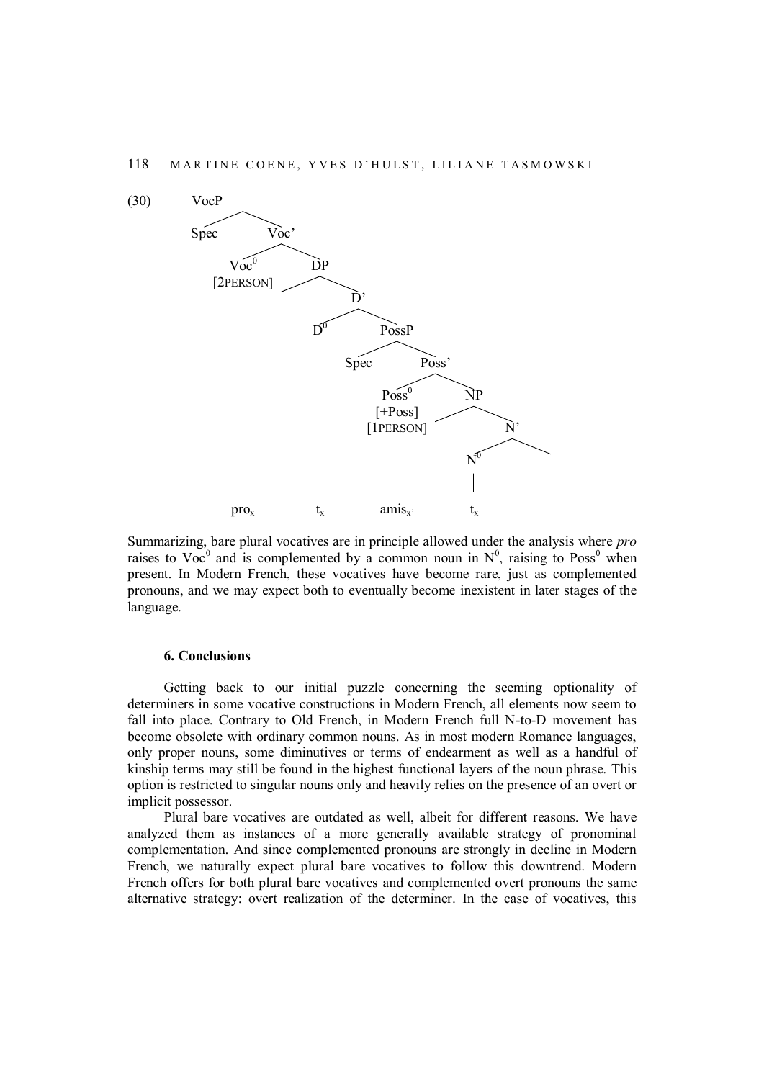

Summarizing, bare plural vocatives are in principle allowed under the analysis where *pro* raises to Voc<sup>0</sup> and is complemented by a common noun in  $N^0$ , raising to Poss<sup>0</sup> when present. In Modern French, these vocatives have become rare, just as complemented pronouns, and we may expect both to eventually become inexistent in later stages of the language.

## **6. Conclusions**

Getting back to our initial puzzle concerning the seeming optionality of determiners in some vocative constructions in Modern French, all elements now seem to fall into place. Contrary to Old French, in Modern French full N-to-D movement has become obsolete with ordinary common nouns. As in most modern Romance languages, only proper nouns, some diminutives or terms of endearment as well as a handful of kinship terms may still be found in the highest functional layers of the noun phrase. This option is restricted to singular nouns only and heavily relies on the presence of an overt or implicit possessor.

Plural bare vocatives are outdated as well, albeit for different reasons. We have analyzed them as instances of a more generally available strategy of pronominal complementation. And since complemented pronouns are strongly in decline in Modern French, we naturally expect plural bare vocatives to follow this downtrend. Modern French offers for both plural bare vocatives and complemented overt pronouns the same alternative strategy: overt realization of the determiner. In the case of vocatives, this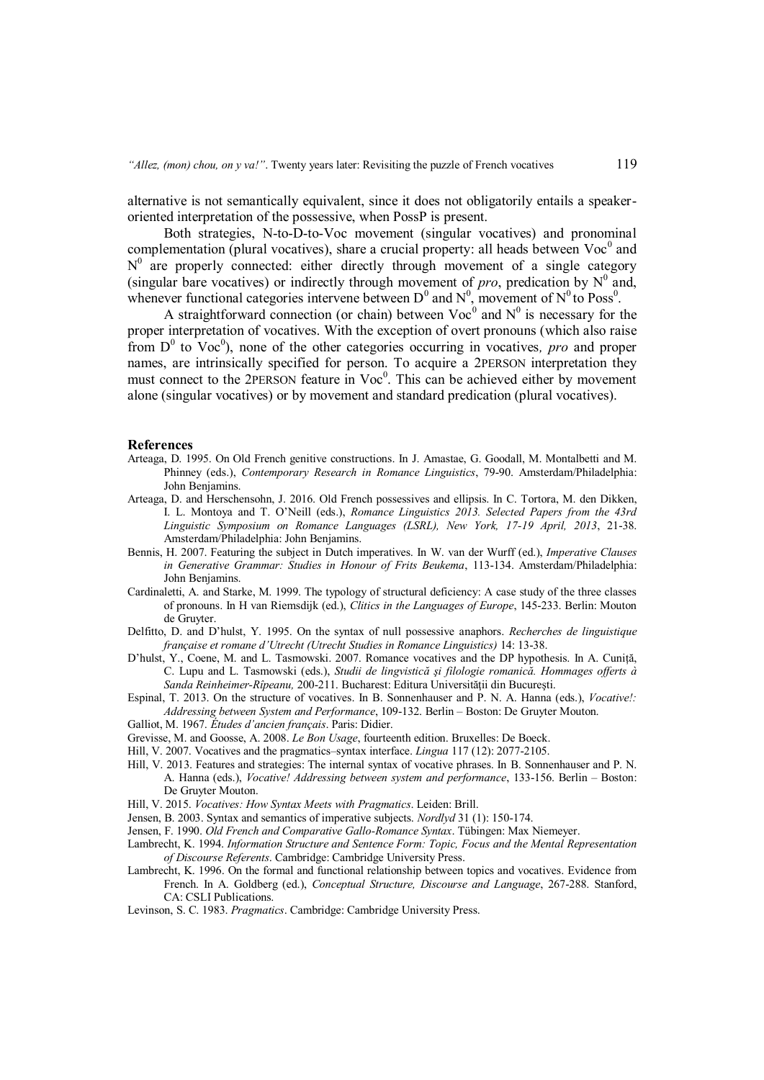alternative is not semantically equivalent, since it does not obligatorily entails a speakeroriented interpretation of the possessive, when PossP is present.

Both strategies, N-to-D-to-Voc movement (singular vocatives) and pronominal complementation (plural vocatives), share a crucial property: all heads between  $Voc<sup>0</sup>$  and  $N^0$  are properly connected: either directly through movement of a single category (singular bare vocatives) or indirectly through movement of *pro*, predication by  $N^0$  and, whenever functional categories intervene between  $D^0$  and  $N^0$ , movement of  $N^0$  to Poss<sup>0</sup>.

A straightforward connection (or chain) between  $Voc<sup>0</sup>$  and  $N<sup>0</sup>$  is necessary for the proper interpretation of vocatives. With the exception of overt pronouns (which also raise from  $D^0$  to Voc<sup>0</sup>), none of the other categories occurring in vocatives, *pro* and proper names, are intrinsically specified for person. To acquire a 2PERSON interpretation they must connect to the 2PERSON feature in Voc<sup>0</sup>. This can be achieved either by movement alone (singular vocatives) or by movement and standard predication (plural vocatives).

#### **References**

- Arteaga, D. 1995. On Old French genitive constructions. In J. Amastae, G. Goodall, M. Montalbetti and M. Phinney (eds.), *Contemporary Research in Romance Linguistics*, 79-90. Amsterdam/Philadelphia: John Benjamins.
- Arteaga, D. and Herschensohn, J. 2016. Old French possessives and ellipsis. In C. Tortora, M. den Dikken, I. L. Montoya and T. O'Neill (eds.), *Romance Linguistics 2013. Selected Papers from the 43rd Linguistic Symposium on Romance Languages (LSRL), New York, 17-19 April, 2013*, 21-38. Amsterdam/Philadelphia: John Benjamins.
- Bennis, H. 2007. Featuring the subject in Dutch imperatives. In W. van der Wurff (ed.), *Imperative Clauses in Generative Grammar: Studies in Honour of Frits Beukema*, 113-134. Amsterdam/Philadelphia: John Benjamins.
- Cardinaletti, A. and Starke, M. 1999. The typology of structural deficiency: A case study of the three classes of pronouns. In H van Riemsdijk (ed.), *Clitics in the Languages of Europe*, 145-233. Berlin: Mouton de Gruyter.
- Delfitto, D. and D'hulst, Y. 1995. On the syntax of null possessive anaphors. *Recherches de linguistique française et romane d'Utrecht (Utrecht Studies in Romance Linguistics)* 14: 13-38.
- D'hulst, Y., Coene, M. and L. Tasmowski. 2007. Romance vocatives and the DP hypothesis. In A. Cuniță, C. Lupu and L. Tasmowski (eds.), *Studii de lingvistică şi filologie romanică. Hommages offerts à Sanda Reinheimer-Rîpeanu,* 200-211. Bucharest: Editura Universităţii din Bucureşti.
- Espinal, T. 2013. On the structure of vocatives. In B. Sonnenhauser and P. N. A. Hanna (eds.), *Vocative!: Addressing between System and Performance*, 109-132. Berlin – Boston: De Gruyter Mouton.
- Galliot, M. 1967. *Études d'ancien français*. Paris: Didier.
- Grevisse, M. and Goosse, A. 2008. *Le Bon Usage*, fourteenth edition. Bruxelles: De Boeck.
- Hill, V. 2007. Vocatives and the pragmatics–syntax interface. *Lingua* 117 (12): 2077-2105.
- Hill, V. 2013. Features and strategies: The internal syntax of vocative phrases. In B. Sonnenhauser and P. N. A. Hanna (eds.), *Vocative! Addressing between system and performance*, 133-156. Berlin – Boston: De Gruyter Mouton.
- Hill, V. 2015. *Vocatives: How Syntax Meets with Pragmatics*. Leiden: Brill.
- Jensen, B. 2003. Syntax and semantics of imperative subjects. *Nordlyd* 31 (1): 150-174.
- Jensen, F. 1990. *Old French and Comparative Gallo-Romance Syntax*. Tübingen: Max Niemeyer.
- Lambrecht, K. 1994. *Information Structure and Sentence Form: Topic, Focus and the Mental Representation of Discourse Referents*. Cambridge: Cambridge University Press.
- Lambrecht, K. 1996. On the formal and functional relationship between topics and vocatives. Evidence from French. In A. Goldberg (ed.), *Conceptual Structure, Discourse and Language*, 267-288. Stanford, CA: CSLI Publications.
- Levinson, S. C. 1983. *Pragmatics*. Cambridge: Cambridge University Press.